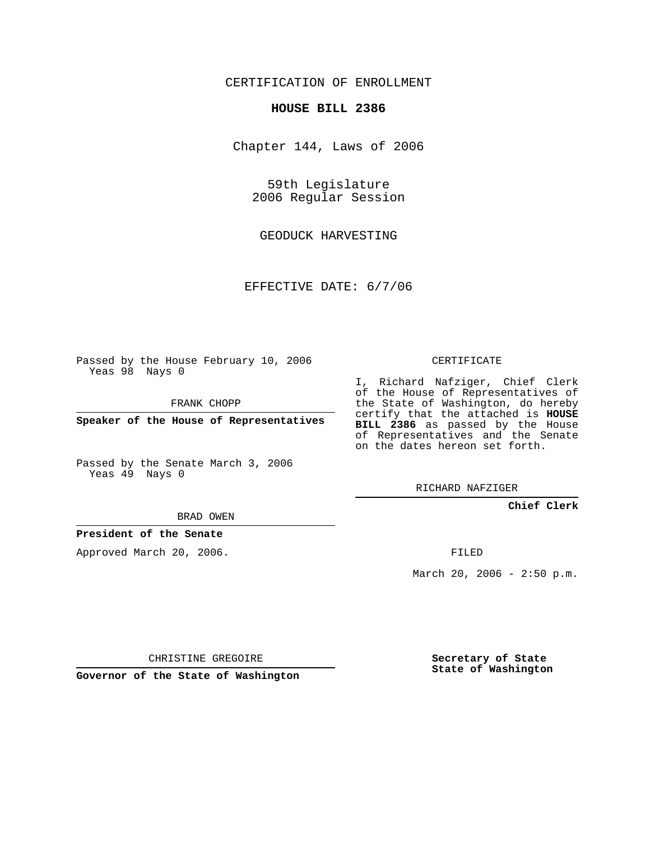## CERTIFICATION OF ENROLLMENT

#### **HOUSE BILL 2386**

Chapter 144, Laws of 2006

59th Legislature 2006 Regular Session

GEODUCK HARVESTING

EFFECTIVE DATE: 6/7/06

Passed by the House February 10, 2006 Yeas 98 Nays 0

FRANK CHOPP

**Speaker of the House of Representatives**

Passed by the Senate March 3, 2006 Yeas 49 Nays 0

I, Richard Nafziger, Chief Clerk of the House of Representatives of the State of Washington, do hereby certify that the attached is **HOUSE BILL 2386** as passed by the House of Representatives and the Senate on the dates hereon set forth.

CERTIFICATE

RICHARD NAFZIGER

## **Chief Clerk**

BRAD OWEN

## **President of the Senate**

Approved March 20, 2006.

FILED

March 20, 2006 - 2:50 p.m.

CHRISTINE GREGOIRE

**Governor of the State of Washington**

**Secretary of State State of Washington**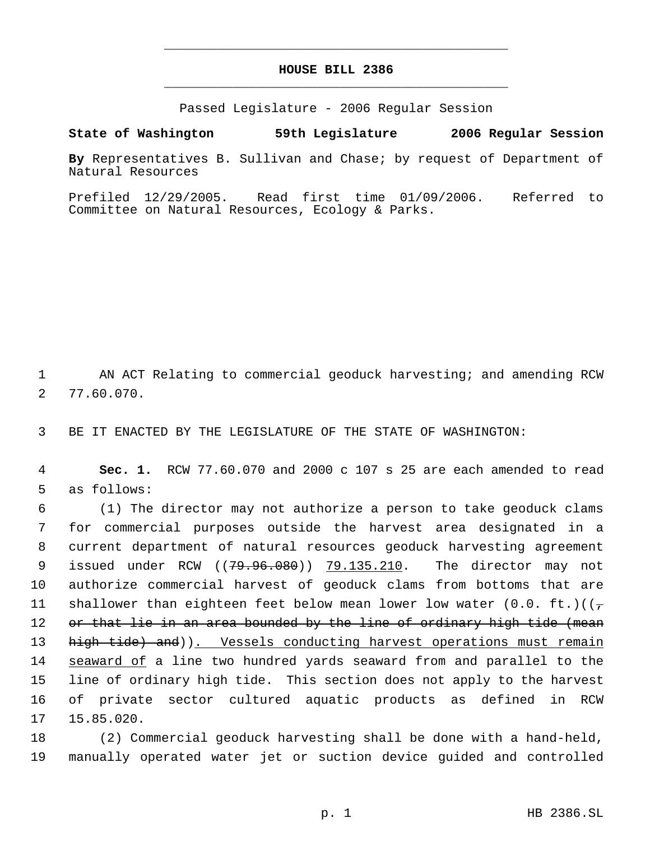# **HOUSE BILL 2386** \_\_\_\_\_\_\_\_\_\_\_\_\_\_\_\_\_\_\_\_\_\_\_\_\_\_\_\_\_\_\_\_\_\_\_\_\_\_\_\_\_\_\_\_\_

\_\_\_\_\_\_\_\_\_\_\_\_\_\_\_\_\_\_\_\_\_\_\_\_\_\_\_\_\_\_\_\_\_\_\_\_\_\_\_\_\_\_\_\_\_

Passed Legislature - 2006 Regular Session

**State of Washington 59th Legislature 2006 Regular Session**

**By** Representatives B. Sullivan and Chase; by request of Department of Natural Resources

Prefiled 12/29/2005. Read first time 01/09/2006. Referred to Committee on Natural Resources, Ecology & Parks.

 1 AN ACT Relating to commercial geoduck harvesting; and amending RCW 2 77.60.070.

3 BE IT ENACTED BY THE LEGISLATURE OF THE STATE OF WASHINGTON:

 4 **Sec. 1.** RCW 77.60.070 and 2000 c 107 s 25 are each amended to read 5 as follows:

 6 (1) The director may not authorize a person to take geoduck clams 7 for commercial purposes outside the harvest area designated in a 8 current department of natural resources geoduck harvesting agreement 9 issued under RCW ((79.96.080)) 79.135.210. The director may not 10 authorize commercial harvest of geoduck clams from bottoms that are 11 shallower than eighteen feet below mean lower low water (0.0. ft.)( $(\tau$ 12 or that lie in an area bounded by the line of ordinary high tide (mean 13 high tide) and)). Vessels conducting harvest operations must remain 14 seaward of a line two hundred yards seaward from and parallel to the 15 line of ordinary high tide. This section does not apply to the harvest 16 of private sector cultured aquatic products as defined in RCW 17 15.85.020.

18 (2) Commercial geoduck harvesting shall be done with a hand-held, 19 manually operated water jet or suction device guided and controlled